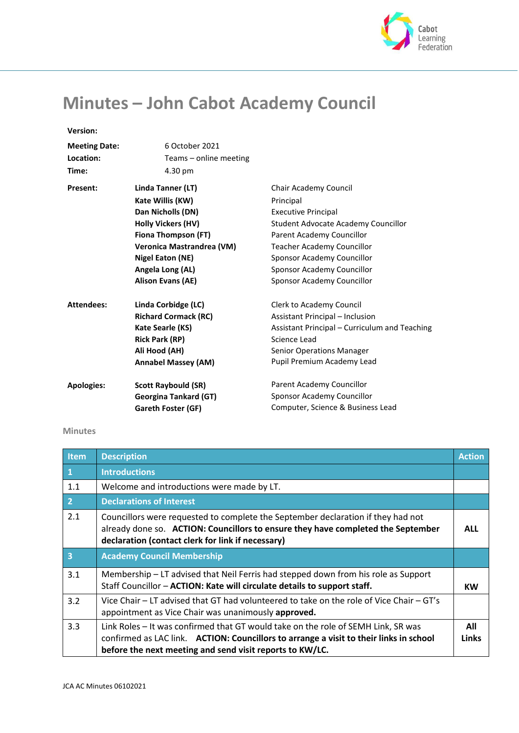

## **Minutes – John Cabot Academy Council**

## **Version:**

| 6 October 2021                   |                                               |
|----------------------------------|-----------------------------------------------|
| Teams - online meeting           |                                               |
| 4.30 pm                          |                                               |
| Linda Tanner (LT)                | Chair Academy Council                         |
| Kate Willis (KW)                 | Principal                                     |
| Dan Nicholls (DN)                | <b>Executive Principal</b>                    |
| <b>Holly Vickers (HV)</b>        | Student Advocate Academy Councillor           |
| Fiona Thompson (FT)              | Parent Academy Councillor                     |
| <b>Veronica Mastrandrea (VM)</b> | <b>Teacher Academy Councillor</b>             |
| Nigel Eaton (NE)                 | Sponsor Academy Councillor                    |
| Angela Long (AL)                 | Sponsor Academy Councillor                    |
| <b>Alison Evans (AE)</b>         | Sponsor Academy Councillor                    |
| Linda Corbidge (LC)              | Clerk to Academy Council                      |
| <b>Richard Cormack (RC)</b>      | Assistant Principal - Inclusion               |
| <b>Kate Searle (KS)</b>          | Assistant Principal - Curriculum and Teaching |
| <b>Rick Park (RP)</b>            | Science Lead                                  |
| Ali Hood (AH)                    | <b>Senior Operations Manager</b>              |
| <b>Annabel Massey (AM)</b>       | Pupil Premium Academy Lead                    |
| <b>Scott Raybould (SR)</b>       | Parent Academy Councillor                     |
| <b>Georgina Tankard (GT)</b>     | Sponsor Academy Councillor                    |
| Gareth Foster (GF)               | Computer, Science & Business Lead             |
|                                  |                                               |

## **Minutes**

| Item      | <b>Description</b>                                                                                                                                                                                                                       | <b>Action</b>       |
|-----------|------------------------------------------------------------------------------------------------------------------------------------------------------------------------------------------------------------------------------------------|---------------------|
| $\vert$ 1 | <b>Introductions</b>                                                                                                                                                                                                                     |                     |
| 1.1       | Welcome and introductions were made by LT.                                                                                                                                                                                               |                     |
| $\vert$ 2 | <b>Declarations of Interest</b>                                                                                                                                                                                                          |                     |
| 2.1       | Councillors were requested to complete the September declaration if they had not<br>already done so. ACTION: Councillors to ensure they have completed the September<br>declaration (contact clerk for link if necessary)                | <b>ALL</b>          |
| $\vert$ 3 | <b>Academy Council Membership</b>                                                                                                                                                                                                        |                     |
| 3.1       | Membership - LT advised that Neil Ferris had stepped down from his role as Support<br>Staff Councillor - ACTION: Kate will circulate details to support staff.                                                                           | <b>KW</b>           |
| 3.2       | Vice Chair - LT advised that GT had volunteered to take on the role of Vice Chair - GT's<br>appointment as Vice Chair was unanimously approved.                                                                                          |                     |
| 3.3       | Link Roles - It was confirmed that GT would take on the role of SEMH Link, SR was<br>confirmed as LAC link.  ACTION: Councillors to arrange a visit to their links in school<br>before the next meeting and send visit reports to KW/LC. | All<br><b>Links</b> |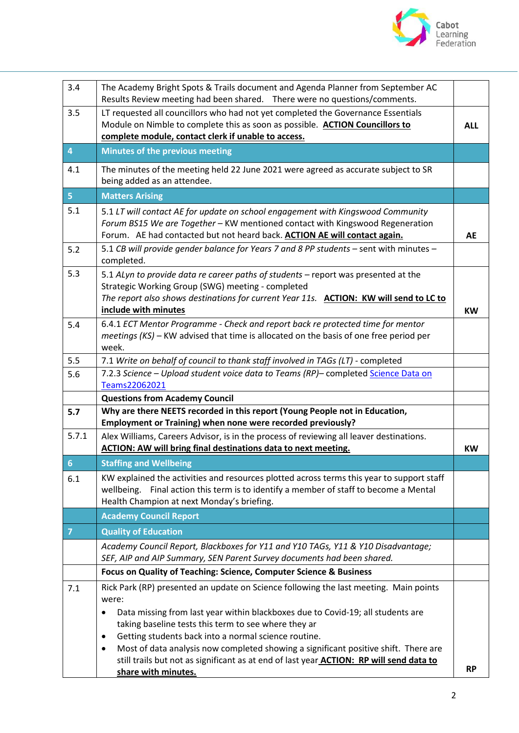

| 3.4            | The Academy Bright Spots & Trails document and Agenda Planner from September AC<br>Results Review meeting had been shared.  There were no questions/comments.                                                                                                                                                                                                                                                                                                                                                          |            |
|----------------|------------------------------------------------------------------------------------------------------------------------------------------------------------------------------------------------------------------------------------------------------------------------------------------------------------------------------------------------------------------------------------------------------------------------------------------------------------------------------------------------------------------------|------------|
| 3.5            | LT requested all councillors who had not yet completed the Governance Essentials<br>Module on Nimble to complete this as soon as possible. ACTION Councillors to<br>complete module, contact clerk if unable to access.                                                                                                                                                                                                                                                                                                | <b>ALL</b> |
| 4              | Minutes of the previous meeting                                                                                                                                                                                                                                                                                                                                                                                                                                                                                        |            |
| 4.1            | The minutes of the meeting held 22 June 2021 were agreed as accurate subject to SR<br>being added as an attendee.                                                                                                                                                                                                                                                                                                                                                                                                      |            |
| 5 <sup>1</sup> | <b>Matters Arising</b>                                                                                                                                                                                                                                                                                                                                                                                                                                                                                                 |            |
| 5.1            | 5.1 LT will contact AE for update on school engagement with Kingswood Community<br>Forum BS15 We are Together - KW mentioned contact with Kingswood Regeneration<br>Forum. AE had contacted but not heard back. ACTION AE will contact again.                                                                                                                                                                                                                                                                          | <b>AE</b>  |
| 5.2            | 5.1 CB will provide gender balance for Years 7 and 8 PP students - sent with minutes -<br>completed.                                                                                                                                                                                                                                                                                                                                                                                                                   |            |
| 5.3            | 5.1 ALyn to provide data re career paths of students - report was presented at the<br>Strategic Working Group (SWG) meeting - completed<br>The report also shows destinations for current Year 11s. ACTION: KW will send to LC to<br>include with minutes                                                                                                                                                                                                                                                              | <b>KW</b>  |
| 5.4            | 6.4.1 ECT Mentor Programme - Check and report back re protected time for mentor<br>meetings (KS) - KW advised that time is allocated on the basis of one free period per<br>week.                                                                                                                                                                                                                                                                                                                                      |            |
| 5.5            | 7.1 Write on behalf of council to thank staff involved in TAGs (LT) - completed                                                                                                                                                                                                                                                                                                                                                                                                                                        |            |
| 5.6            | 7.2.3 Science - Upload student voice data to Teams (RP)- completed Science Data on<br>Teams22062021                                                                                                                                                                                                                                                                                                                                                                                                                    |            |
|                | <b>Questions from Academy Council</b>                                                                                                                                                                                                                                                                                                                                                                                                                                                                                  |            |
| 5.7            | Why are there NEETS recorded in this report (Young People not in Education,<br>Employment or Training) when none were recorded previously?                                                                                                                                                                                                                                                                                                                                                                             |            |
| 5.7.1          | Alex Williams, Careers Advisor, is in the process of reviewing all leaver destinations.<br><b>ACTION: AW will bring final destinations data to next meeting.</b>                                                                                                                                                                                                                                                                                                                                                       | <b>KW</b>  |
| $6\phantom{1}$ | <b>Staffing and Wellbeing</b>                                                                                                                                                                                                                                                                                                                                                                                                                                                                                          |            |
| 6.1            | KW explained the activities and resources plotted across terms this year to support staff<br>Final action this term is to identify a member of staff to become a Mental<br>wellbeing.<br>Health Champion at next Monday's briefing.                                                                                                                                                                                                                                                                                    |            |
|                | <b>Academy Council Report</b>                                                                                                                                                                                                                                                                                                                                                                                                                                                                                          |            |
| $\overline{7}$ | <b>Quality of Education</b>                                                                                                                                                                                                                                                                                                                                                                                                                                                                                            |            |
|                | Academy Council Report, Blackboxes for Y11 and Y10 TAGs, Y11 & Y10 Disadvantage;<br>SEF, AIP and AIP Summary, SEN Parent Survey documents had been shared.                                                                                                                                                                                                                                                                                                                                                             |            |
|                | Focus on Quality of Teaching: Science, Computer Science & Business                                                                                                                                                                                                                                                                                                                                                                                                                                                     |            |
| 7.1            | Rick Park (RP) presented an update on Science following the last meeting. Main points<br>were:<br>Data missing from last year within blackboxes due to Covid-19; all students are<br>taking baseline tests this term to see where they ar<br>Getting students back into a normal science routine.<br>Most of data analysis now completed showing a significant positive shift. There are<br>٠<br>still trails but not as significant as at end of last year <b>ACTION: RP will send data to</b><br>share with minutes. | <b>RP</b>  |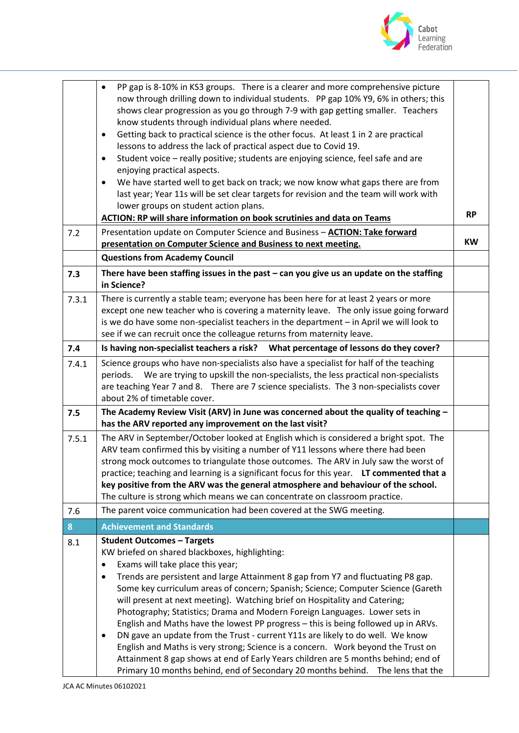

|       | PP gap is 8-10% in KS3 groups. There is a clearer and more comprehensive picture<br>$\bullet$<br>now through drilling down to individual students. PP gap 10% Y9, 6% in others; this<br>shows clear progression as you go through 7-9 with gap getting smaller. Teachers<br>know students through individual plans where needed.<br>Getting back to practical science is the other focus. At least 1 in 2 are practical<br>٠<br>lessons to address the lack of practical aspect due to Covid 19.<br>Student voice - really positive; students are enjoying science, feel safe and are<br>$\bullet$<br>enjoying practical aspects.<br>We have started well to get back on track; we now know what gaps there are from<br>٠<br>last year; Year 11s will be set clear targets for revision and the team will work with<br>lower groups on student action plans.<br><b>ACTION: RP will share information on book scrutinies and data on Teams</b> | <b>RP</b> |
|-------|-----------------------------------------------------------------------------------------------------------------------------------------------------------------------------------------------------------------------------------------------------------------------------------------------------------------------------------------------------------------------------------------------------------------------------------------------------------------------------------------------------------------------------------------------------------------------------------------------------------------------------------------------------------------------------------------------------------------------------------------------------------------------------------------------------------------------------------------------------------------------------------------------------------------------------------------------|-----------|
| 7.2   | Presentation update on Computer Science and Business - <b>ACTION: Take forward</b><br>presentation on Computer Science and Business to next meeting.                                                                                                                                                                                                                                                                                                                                                                                                                                                                                                                                                                                                                                                                                                                                                                                          | <b>KW</b> |
|       | <b>Questions from Academy Council</b>                                                                                                                                                                                                                                                                                                                                                                                                                                                                                                                                                                                                                                                                                                                                                                                                                                                                                                         |           |
| 7.3   | There have been staffing issues in the past $-$ can you give us an update on the staffing<br>in Science?                                                                                                                                                                                                                                                                                                                                                                                                                                                                                                                                                                                                                                                                                                                                                                                                                                      |           |
| 7.3.1 | There is currently a stable team; everyone has been here for at least 2 years or more<br>except one new teacher who is covering a maternity leave. The only issue going forward<br>is we do have some non-specialist teachers in the department - in April we will look to<br>see if we can recruit once the colleague returns from maternity leave.                                                                                                                                                                                                                                                                                                                                                                                                                                                                                                                                                                                          |           |
| 7.4   | Is having non-specialist teachers a risk? What percentage of lessons do they cover?                                                                                                                                                                                                                                                                                                                                                                                                                                                                                                                                                                                                                                                                                                                                                                                                                                                           |           |
| 7.4.1 | Science groups who have non-specialists also have a specialist for half of the teaching<br>periods. We are trying to upskill the non-specialists, the less practical non-specialists<br>are teaching Year 7 and 8. There are 7 science specialists. The 3 non-specialists cover<br>about 2% of timetable cover.                                                                                                                                                                                                                                                                                                                                                                                                                                                                                                                                                                                                                               |           |
| 7.5   | The Academy Review Visit (ARV) in June was concerned about the quality of teaching $-$<br>has the ARV reported any improvement on the last visit?                                                                                                                                                                                                                                                                                                                                                                                                                                                                                                                                                                                                                                                                                                                                                                                             |           |
| 7.5.1 | The ARV in September/October looked at English which is considered a bright spot. The<br>ARV team confirmed this by visiting a number of Y11 lessons where there had been<br>strong mock outcomes to triangulate those outcomes. The ARV in July saw the worst of<br>practice; teaching and learning is a significant focus for this year. LT commented that a<br>key positive from the ARV was the general atmosphere and behaviour of the school.<br>The culture is strong which means we can concentrate on classroom practice.                                                                                                                                                                                                                                                                                                                                                                                                            |           |
| 7.6   | The parent voice communication had been covered at the SWG meeting.                                                                                                                                                                                                                                                                                                                                                                                                                                                                                                                                                                                                                                                                                                                                                                                                                                                                           |           |
| 8     | <b>Achievement and Standards</b>                                                                                                                                                                                                                                                                                                                                                                                                                                                                                                                                                                                                                                                                                                                                                                                                                                                                                                              |           |
| 8.1   | <b>Student Outcomes - Targets</b><br>KW briefed on shared blackboxes, highlighting:<br>Exams will take place this year;<br>$\bullet$<br>Trends are persistent and large Attainment 8 gap from Y7 and fluctuating P8 gap.<br>Some key curriculum areas of concern; Spanish; Science; Computer Science (Gareth<br>will present at next meeting). Watching brief on Hospitality and Catering;<br>Photography; Statistics; Drama and Modern Foreign Languages. Lower sets in<br>English and Maths have the lowest PP progress - this is being followed up in ARVs.<br>DN gave an update from the Trust - current Y11s are likely to do well. We know<br>$\bullet$<br>English and Maths is very strong; Science is a concern. Work beyond the Trust on<br>Attainment 8 gap shows at end of Early Years children are 5 months behind; end of<br>Primary 10 months behind, end of Secondary 20 months behind.<br>The lens that the                   |           |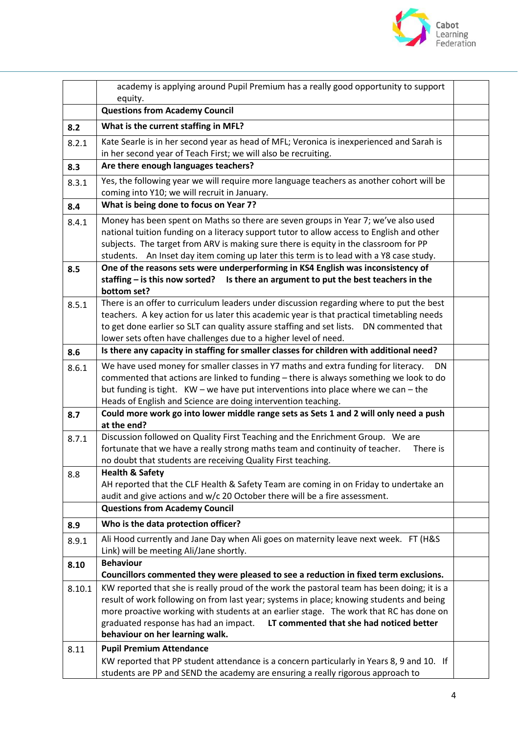

|        | academy is applying around Pupil Premium has a really good opportunity to support<br>equity.                                                                                                                                                                                                                                                                      |  |
|--------|-------------------------------------------------------------------------------------------------------------------------------------------------------------------------------------------------------------------------------------------------------------------------------------------------------------------------------------------------------------------|--|
|        | <b>Questions from Academy Council</b>                                                                                                                                                                                                                                                                                                                             |  |
| 8.2    | What is the current staffing in MFL?                                                                                                                                                                                                                                                                                                                              |  |
| 8.2.1  | Kate Searle is in her second year as head of MFL; Veronica is inexperienced and Sarah is                                                                                                                                                                                                                                                                          |  |
|        | in her second year of Teach First; we will also be recruiting.                                                                                                                                                                                                                                                                                                    |  |
| 8.3    | Are there enough languages teachers?                                                                                                                                                                                                                                                                                                                              |  |
| 8.3.1  | Yes, the following year we will require more language teachers as another cohort will be<br>coming into Y10; we will recruit in January.                                                                                                                                                                                                                          |  |
| 8.4    | What is being done to focus on Year 7?                                                                                                                                                                                                                                                                                                                            |  |
| 8.4.1  | Money has been spent on Maths so there are seven groups in Year 7; we've also used<br>national tuition funding on a literacy support tutor to allow access to English and other<br>subjects. The target from ARV is making sure there is equity in the classroom for PP<br>students. An Inset day item coming up later this term is to lead with a Y8 case study. |  |
| 8.5    | One of the reasons sets were underperforming in KS4 English was inconsistency of                                                                                                                                                                                                                                                                                  |  |
|        | Is there an argument to put the best teachers in the<br>staffing - is this now sorted?                                                                                                                                                                                                                                                                            |  |
| 8.5.1  | bottom set?<br>There is an offer to curriculum leaders under discussion regarding where to put the best                                                                                                                                                                                                                                                           |  |
|        | teachers. A key action for us later this academic year is that practical timetabling needs                                                                                                                                                                                                                                                                        |  |
|        | to get done earlier so SLT can quality assure staffing and set lists.  DN commented that                                                                                                                                                                                                                                                                          |  |
|        | lower sets often have challenges due to a higher level of need.                                                                                                                                                                                                                                                                                                   |  |
| 8.6    | Is there any capacity in staffing for smaller classes for children with additional need?                                                                                                                                                                                                                                                                          |  |
| 8.6.1  | We have used money for smaller classes in Y7 maths and extra funding for literacy.<br>DN.                                                                                                                                                                                                                                                                         |  |
|        | commented that actions are linked to funding - there is always something we look to do<br>but funding is tight. KW - we have put interventions into place where we can - the                                                                                                                                                                                      |  |
|        | Heads of English and Science are doing intervention teaching.                                                                                                                                                                                                                                                                                                     |  |
| 8.7    | Could more work go into lower middle range sets as Sets 1 and 2 will only need a push                                                                                                                                                                                                                                                                             |  |
|        | at the end?                                                                                                                                                                                                                                                                                                                                                       |  |
| 8.7.1  | Discussion followed on Quality First Teaching and the Enrichment Group. We are                                                                                                                                                                                                                                                                                    |  |
|        | fortunate that we have a really strong maths team and continuity of teacher.<br>There is                                                                                                                                                                                                                                                                          |  |
| 8.8    | no doubt that students are receiving Quality First teaching.<br><b>Health &amp; Safety</b>                                                                                                                                                                                                                                                                        |  |
|        | AH reported that the CLF Health & Safety Team are coming in on Friday to undertake an                                                                                                                                                                                                                                                                             |  |
|        | audit and give actions and w/c 20 October there will be a fire assessment.                                                                                                                                                                                                                                                                                        |  |
|        | <b>Questions from Academy Council</b>                                                                                                                                                                                                                                                                                                                             |  |
| 8.9    | Who is the data protection officer?                                                                                                                                                                                                                                                                                                                               |  |
| 8.9.1  | Ali Hood currently and Jane Day when Ali goes on maternity leave next week. FT (H&S                                                                                                                                                                                                                                                                               |  |
|        | Link) will be meeting Ali/Jane shortly.<br><b>Behaviour</b>                                                                                                                                                                                                                                                                                                       |  |
| 8.10   | Councillors commented they were pleased to see a reduction in fixed term exclusions.                                                                                                                                                                                                                                                                              |  |
| 8.10.1 | KW reported that she is really proud of the work the pastoral team has been doing; it is a                                                                                                                                                                                                                                                                        |  |
|        | result of work following on from last year; systems in place; knowing students and being                                                                                                                                                                                                                                                                          |  |
|        | more proactive working with students at an earlier stage. The work that RC has done on                                                                                                                                                                                                                                                                            |  |
|        | graduated response has had an impact.<br>LT commented that she had noticed better                                                                                                                                                                                                                                                                                 |  |
|        | behaviour on her learning walk.                                                                                                                                                                                                                                                                                                                                   |  |
| 8.11   | <b>Pupil Premium Attendance</b><br>KW reported that PP student attendance is a concern particularly in Years 8, 9 and 10. If                                                                                                                                                                                                                                      |  |
|        | students are PP and SEND the academy are ensuring a really rigorous approach to                                                                                                                                                                                                                                                                                   |  |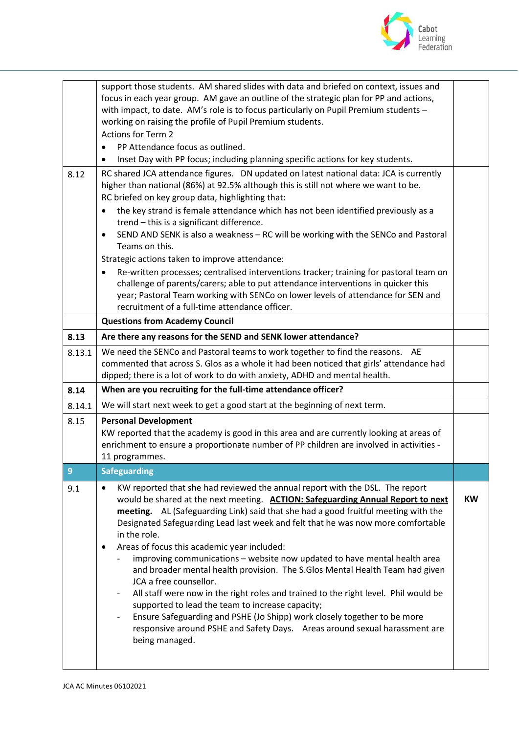

|        | support those students. AM shared slides with data and briefed on context, issues and<br>focus in each year group. AM gave an outline of the strategic plan for PP and actions,<br>with impact, to date. AM's role is to focus particularly on Pupil Premium students -<br>working on raising the profile of Pupil Premium students.<br><b>Actions for Term 2</b><br>PP Attendance focus as outlined.<br>$\bullet$<br>Inset Day with PP focus; including planning specific actions for key students.<br>٠                                                                                                                                                                                                                                                                                                                                                                                                                                |           |
|--------|------------------------------------------------------------------------------------------------------------------------------------------------------------------------------------------------------------------------------------------------------------------------------------------------------------------------------------------------------------------------------------------------------------------------------------------------------------------------------------------------------------------------------------------------------------------------------------------------------------------------------------------------------------------------------------------------------------------------------------------------------------------------------------------------------------------------------------------------------------------------------------------------------------------------------------------|-----------|
| 8.12   | RC shared JCA attendance figures.  DN updated on latest national data: JCA is currently<br>higher than national (86%) at 92.5% although this is still not where we want to be.<br>RC briefed on key group data, highlighting that:<br>the key strand is female attendance which has not been identified previously as a<br>$\bullet$<br>trend - this is a significant difference.<br>SEND AND SENK is also a weakness - RC will be working with the SENCo and Pastoral<br>٠<br>Teams on this.<br>Strategic actions taken to improve attendance:<br>Re-written processes; centralised interventions tracker; training for pastoral team on<br>٠<br>challenge of parents/carers; able to put attendance interventions in quicker this<br>year; Pastoral Team working with SENCo on lower levels of attendance for SEN and<br>recruitment of a full-time attendance officer.                                                                |           |
|        | <b>Questions from Academy Council</b>                                                                                                                                                                                                                                                                                                                                                                                                                                                                                                                                                                                                                                                                                                                                                                                                                                                                                                    |           |
| 8.13   | Are there any reasons for the SEND and SENK lower attendance?                                                                                                                                                                                                                                                                                                                                                                                                                                                                                                                                                                                                                                                                                                                                                                                                                                                                            |           |
| 8.13.1 | We need the SENCo and Pastoral teams to work together to find the reasons. AE<br>commented that across S. Glos as a whole it had been noticed that girls' attendance had<br>dipped; there is a lot of work to do with anxiety, ADHD and mental health.                                                                                                                                                                                                                                                                                                                                                                                                                                                                                                                                                                                                                                                                                   |           |
| 8.14   | When are you recruiting for the full-time attendance officer?                                                                                                                                                                                                                                                                                                                                                                                                                                                                                                                                                                                                                                                                                                                                                                                                                                                                            |           |
| 8.14.1 | We will start next week to get a good start at the beginning of next term.                                                                                                                                                                                                                                                                                                                                                                                                                                                                                                                                                                                                                                                                                                                                                                                                                                                               |           |
| 8.15   | <b>Personal Development</b><br>KW reported that the academy is good in this area and are currently looking at areas of<br>enrichment to ensure a proportionate number of PP children are involved in activities -<br>11 programmes.                                                                                                                                                                                                                                                                                                                                                                                                                                                                                                                                                                                                                                                                                                      |           |
| 9      | <b>Safeguarding</b>                                                                                                                                                                                                                                                                                                                                                                                                                                                                                                                                                                                                                                                                                                                                                                                                                                                                                                                      |           |
| 9.1    | KW reported that she had reviewed the annual report with the DSL. The report<br>$\bullet$<br>would be shared at the next meeting. ACTION: Safeguarding Annual Report to next<br>meeting. AL (Safeguarding Link) said that she had a good fruitful meeting with the<br>Designated Safeguarding Lead last week and felt that he was now more comfortable<br>in the role.<br>Areas of focus this academic year included:<br>٠<br>improving communications - website now updated to have mental health area<br>and broader mental health provision. The S.Glos Mental Health Team had given<br>JCA a free counsellor.<br>All staff were now in the right roles and trained to the right level. Phil would be<br>supported to lead the team to increase capacity;<br>Ensure Safeguarding and PSHE (Jo Shipp) work closely together to be more<br>responsive around PSHE and Safety Days. Areas around sexual harassment are<br>being managed. | <b>KW</b> |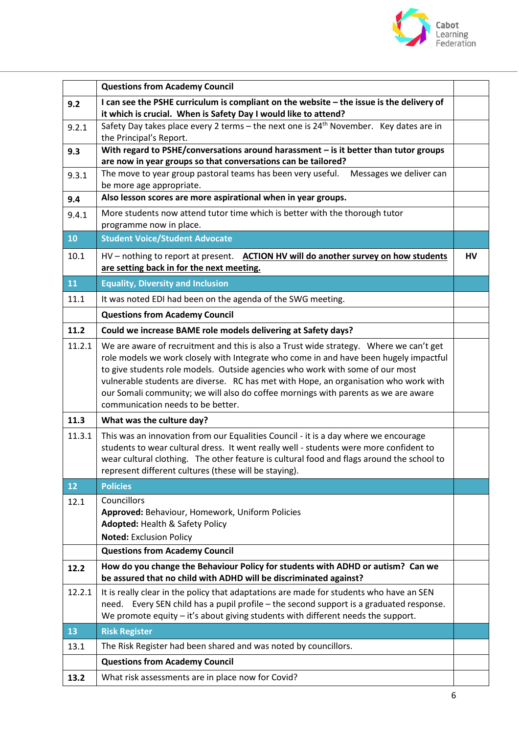

|        | <b>Questions from Academy Council</b>                                                                                                                                                                                                                                                                                                                                                                                                                                                |    |
|--------|--------------------------------------------------------------------------------------------------------------------------------------------------------------------------------------------------------------------------------------------------------------------------------------------------------------------------------------------------------------------------------------------------------------------------------------------------------------------------------------|----|
| 9.2    | I can see the PSHE curriculum is compliant on the website - the issue is the delivery of<br>it which is crucial. When is Safety Day I would like to attend?                                                                                                                                                                                                                                                                                                                          |    |
| 9.2.1  | Safety Day takes place every 2 terms - the next one is $24th$ November. Key dates are in<br>the Principal's Report.                                                                                                                                                                                                                                                                                                                                                                  |    |
| 9.3    | With regard to PSHE/conversations around harassment $-$ is it better than tutor groups                                                                                                                                                                                                                                                                                                                                                                                               |    |
| 9.3.1  | are now in year groups so that conversations can be tailored?<br>The move to year group pastoral teams has been very useful.<br>Messages we deliver can                                                                                                                                                                                                                                                                                                                              |    |
|        | be more age appropriate.                                                                                                                                                                                                                                                                                                                                                                                                                                                             |    |
| 9.4    | Also lesson scores are more aspirational when in year groups.                                                                                                                                                                                                                                                                                                                                                                                                                        |    |
| 9.4.1  | More students now attend tutor time which is better with the thorough tutor<br>programme now in place.                                                                                                                                                                                                                                                                                                                                                                               |    |
| 10     | <b>Student Voice/Student Advocate</b>                                                                                                                                                                                                                                                                                                                                                                                                                                                |    |
| 10.1   | HV - nothing to report at present. ACTION HV will do another survey on how students<br>are setting back in for the next meeting.                                                                                                                                                                                                                                                                                                                                                     | HV |
| 11     | <b>Equality, Diversity and Inclusion</b>                                                                                                                                                                                                                                                                                                                                                                                                                                             |    |
| 11.1   | It was noted EDI had been on the agenda of the SWG meeting.                                                                                                                                                                                                                                                                                                                                                                                                                          |    |
|        | <b>Questions from Academy Council</b>                                                                                                                                                                                                                                                                                                                                                                                                                                                |    |
| 11.2   | Could we increase BAME role models delivering at Safety days?                                                                                                                                                                                                                                                                                                                                                                                                                        |    |
| 11.2.1 | We are aware of recruitment and this is also a Trust wide strategy.  Where we can't get<br>role models we work closely with Integrate who come in and have been hugely impactful<br>to give students role models. Outside agencies who work with some of our most<br>vulnerable students are diverse. RC has met with Hope, an organisation who work with<br>our Somali community; we will also do coffee mornings with parents as we are aware<br>communication needs to be better. |    |
| 11.3   | What was the culture day?                                                                                                                                                                                                                                                                                                                                                                                                                                                            |    |
| 11.3.1 | This was an innovation from our Equalities Council - it is a day where we encourage<br>students to wear cultural dress. It went really well - students were more confident to<br>wear cultural clothing. The other feature is cultural food and flags around the school to<br>represent different cultures (these will be staying).                                                                                                                                                  |    |
| 12     | <b>Policies</b>                                                                                                                                                                                                                                                                                                                                                                                                                                                                      |    |
| 12.1   | Councillors<br>Approved: Behaviour, Homework, Uniform Policies<br><b>Adopted: Health &amp; Safety Policy</b>                                                                                                                                                                                                                                                                                                                                                                         |    |
|        |                                                                                                                                                                                                                                                                                                                                                                                                                                                                                      |    |
|        | <b>Noted: Exclusion Policy</b><br><b>Questions from Academy Council</b>                                                                                                                                                                                                                                                                                                                                                                                                              |    |
| 12.2   | How do you change the Behaviour Policy for students with ADHD or autism? Can we<br>be assured that no child with ADHD will be discriminated against?                                                                                                                                                                                                                                                                                                                                 |    |
| 12.2.1 | It is really clear in the policy that adaptations are made for students who have an SEN<br>need. Every SEN child has a pupil profile - the second support is a graduated response.<br>We promote equity - it's about giving students with different needs the support.                                                                                                                                                                                                               |    |
| 13     | <b>Risk Register</b>                                                                                                                                                                                                                                                                                                                                                                                                                                                                 |    |
| 13.1   | The Risk Register had been shared and was noted by councillors.                                                                                                                                                                                                                                                                                                                                                                                                                      |    |
|        | <b>Questions from Academy Council</b>                                                                                                                                                                                                                                                                                                                                                                                                                                                |    |